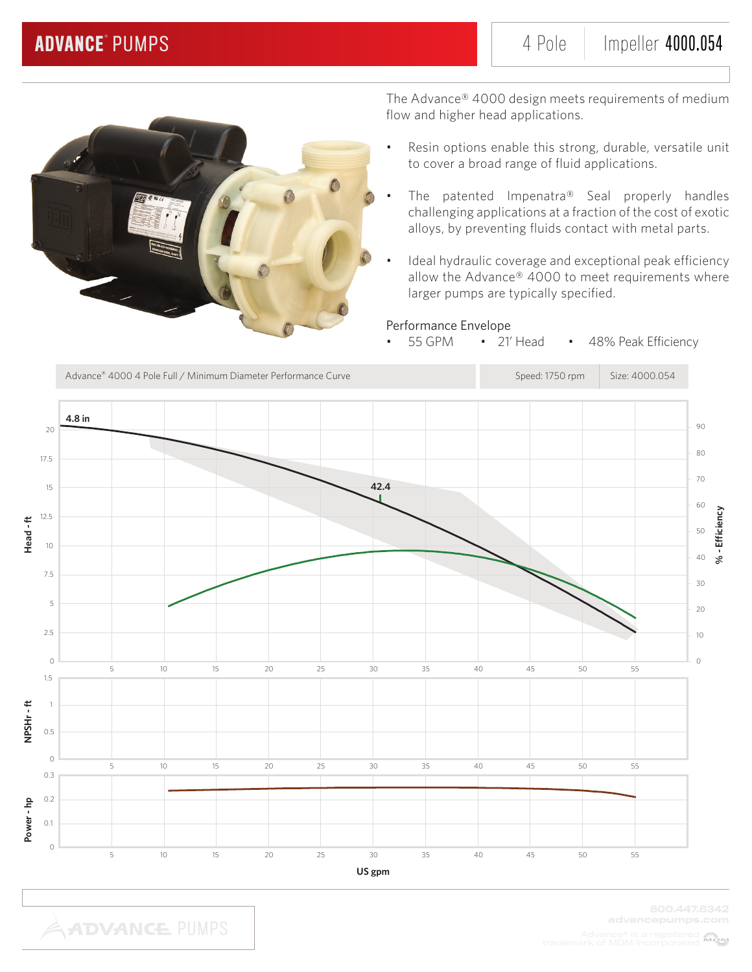

The Advance® 4000 design meets requirements of medium flow and higher head applications.

- Resin options enable this strong, durable, versatile unit to cover a broad range of fluid applications.
- The patented Impenatra® Seal properly handles challenging applications at a fraction of the cost of exotic alloys, by preventing fluids contact with metal parts.
- Ideal hydraulic coverage and exceptional peak efficiency allow the Advance® 4000 to meet requirements where larger pumps are typically specified.

### Performance Envelope

• 55 GPM • 21' Head • 48% Peak Efficiency

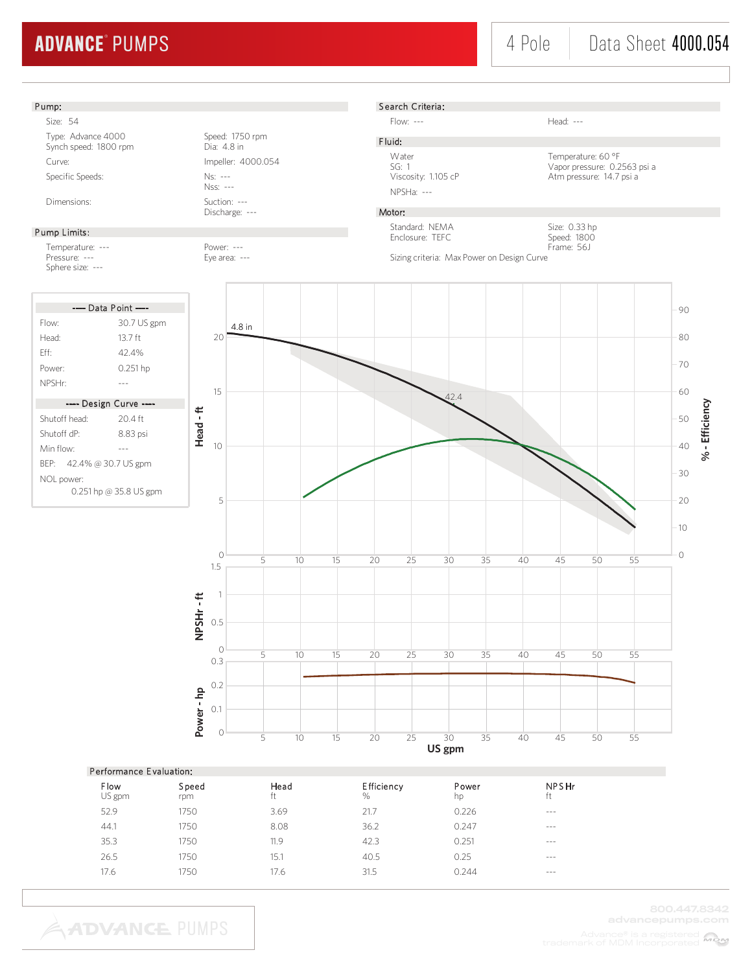#### Pump:

Size: 54 Type: Advance 4000<br>
Synch speed: 1800 rpm<br>
Dia: 4.8 in Synch speed: 1800 rpm Curve: Impeller: 4000.054 Specific Speeds: Ns: ---

#### Pump Limits:

Temperature: ---<br>Pressure: --- Pressure: --- Pressure: ---Sphere size: ---



Nss: --- Dimensions: Suction: ---

Discharge: ---

Eye area: ---



Flow: --- Head: ---

F luid: NPSHa: ---

Water Temperature: 60 °F<br>SG: 1 Vapor pressure: 0.2 SG: 1<br>Viapor pressure: 0.2563 psi a<br>Viscosity: 1.105 cP<br>Atm pressure: 14.7 psi a Atm pressure: 14.7 psi a

#### Motor:

Standard: NEMA Enclosure: TEFC

Size: 0.33 hp Speed: 1800 Frame: 56J

Sizing criteria: Max Power on Design Curve



| Performance Evaluation: |              |            |                        |             |             |  |  |  |
|-------------------------|--------------|------------|------------------------|-------------|-------------|--|--|--|
| Flow<br>US gpm          | Speed<br>rpm | Head<br>ft | <b>Efficiency</b><br>% | Power<br>hp | NPSHr<br>ft |  |  |  |
| 52.9                    | 1750         | 3.69       | 21.7                   | 0.226       | $- - -$     |  |  |  |
| 44.1                    | 1750         | 8.08       | 36.2                   | 0.247       | $- - -$     |  |  |  |
| 35.3                    | 1750         | 11.9       | 42.3                   | 0.251       | $- - -$     |  |  |  |
| 26.5                    | 1750         | 15.1       | 40.5                   | 0.25        | $- - -$     |  |  |  |
| 17.6                    | 1750         | 17.6       | 31.5                   | 0.244       | $- - -$     |  |  |  |
|                         |              |            |                        |             |             |  |  |  |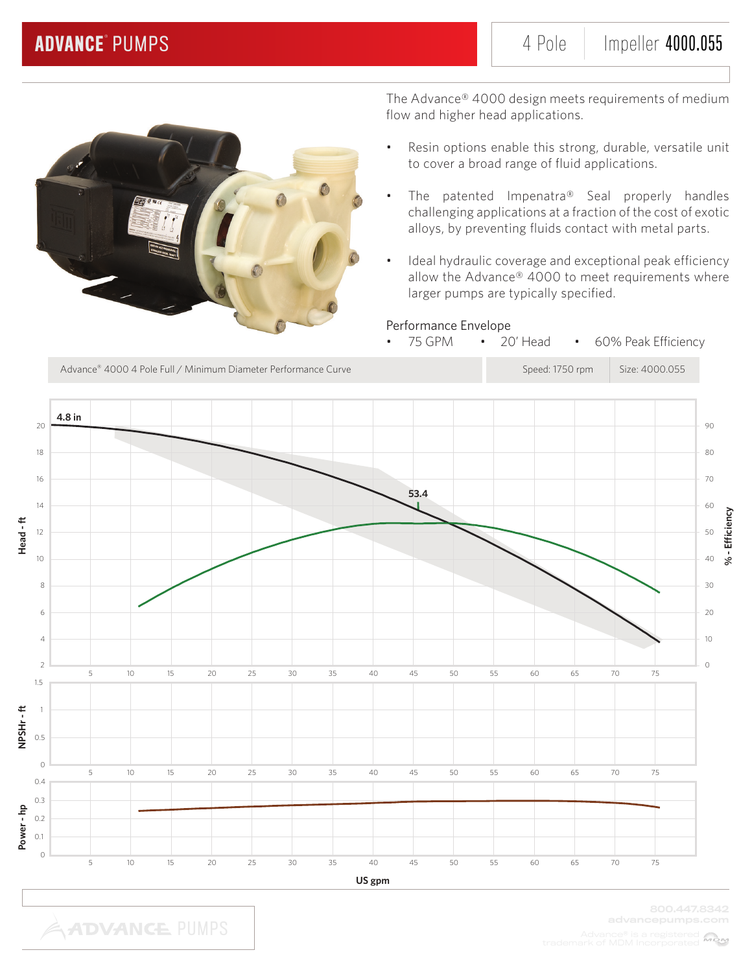

The Advance® 4000 design meets requirements of medium flow and higher head applications.

- Resin options enable this strong, durable, versatile unit to cover a broad range of fluid applications.
- The patented Impenatra® Seal properly handles challenging applications at a fraction of the cost of exotic alloys, by preventing fluids contact with metal parts.
- Ideal hydraulic coverage and exceptional peak efficiency allow the Advance® 4000 to meet requirements where larger pumps are typically specified.

75 GPM • 20' Head • 60% Peak Efficiency

### Performance Envelope

Advance® 4000 4 Pole Full / Minimum Diameter Performance Curve Speed: 1750 rpm Size: 4000.055 **4.8 in** 20 90 18  $80$ 16 70 **53.4** 14 60 **Head - ft** 12 50 10 40 8 30 6 20 4 10 2  $\overline{O}$ 5  $10$ 15  $20$  $25$  $30$ 35 40 45 50 55 60 65 70 75 1.5 NPSHr-ft **NPSHr - ft** 1 0.5 0 10 5 15 20 25 30 35 40 45 50 55 60 65 70 75 0.4 0.3 **Power - hp** 0.2 0.1  $\overline{0}$ 5 10 15 20 25 30 35 40 45 50 55 60 65 70 75 **US gpm**

**% - Efficiency**

% - Efficiency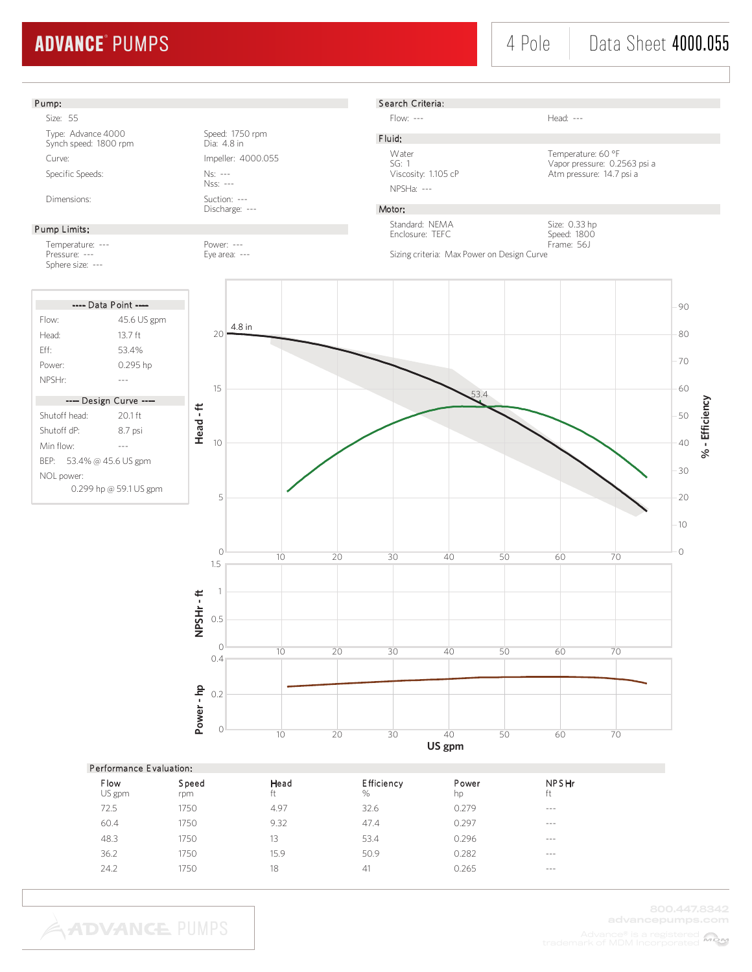

| Feriormance Evaluation. |              |            |                           |             |             |  |  |  |
|-------------------------|--------------|------------|---------------------------|-------------|-------------|--|--|--|
| Flow<br>US gpm          | Speed<br>rpm | Head<br>ft | <b>Efficiency</b><br>$\%$ | Power<br>hp | NPSHr<br>ft |  |  |  |
| 72.5                    | 1750         | 4.97       | 32.6                      | 0.279       | $- - -$     |  |  |  |
| 60.4                    | 1750         | 9.32       | 47.4                      | 0.297       | $- - -$     |  |  |  |
| 48.3                    | 1750         | 13         | 53.4                      | 0.296       | $- - -$     |  |  |  |
| 36.2                    | 1750         | 15.9       | 50.9                      | 0.282       | $- - -$     |  |  |  |
| 24.2                    | 1750         | 18         | 41                        | 0.265       | $- - -$     |  |  |  |
|                         |              |            |                           |             |             |  |  |  |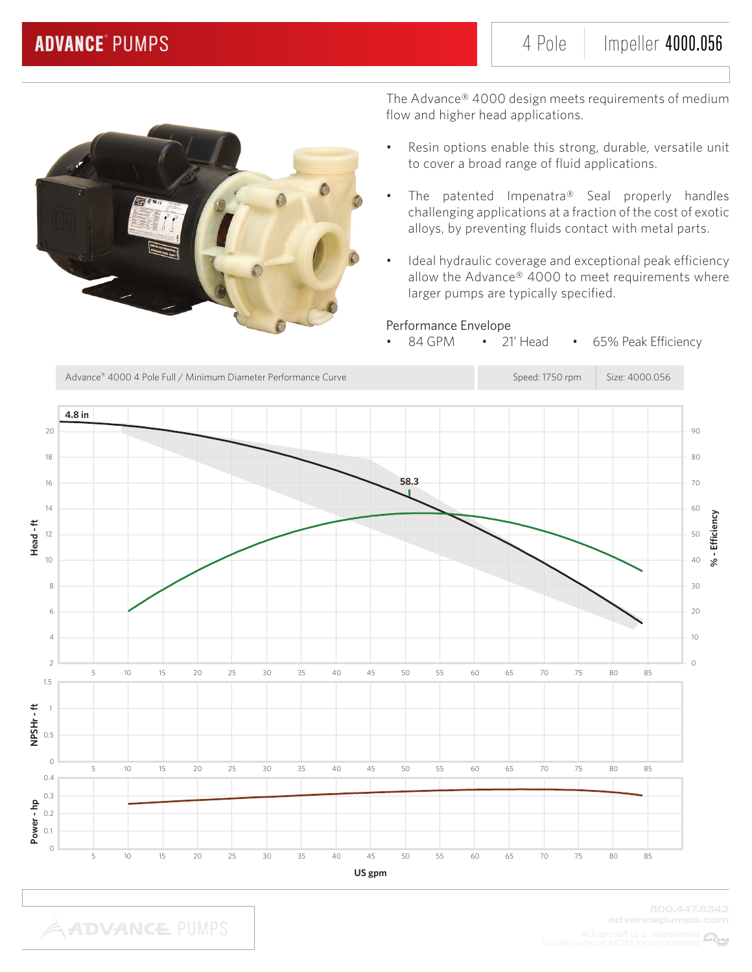

The Advance® 4000 design meets requirements of medium flow and higher head applications.

- Resin options enable this strong, durable, versatile unit to cover a broad range of fluid applications.
- The patented Impenatra® Seal properly handles challenging applications at a fraction of the cost of exotic alloys, by preventing fluids contact with metal parts.
- Ideal hydraulic coverage and exceptional peak efficiency allow the Advance® 4000 to meet requirements where larger pumps are typically specified.

### Performance Envelope

84 GPM • 21' Head • 65% Peak Efficiency

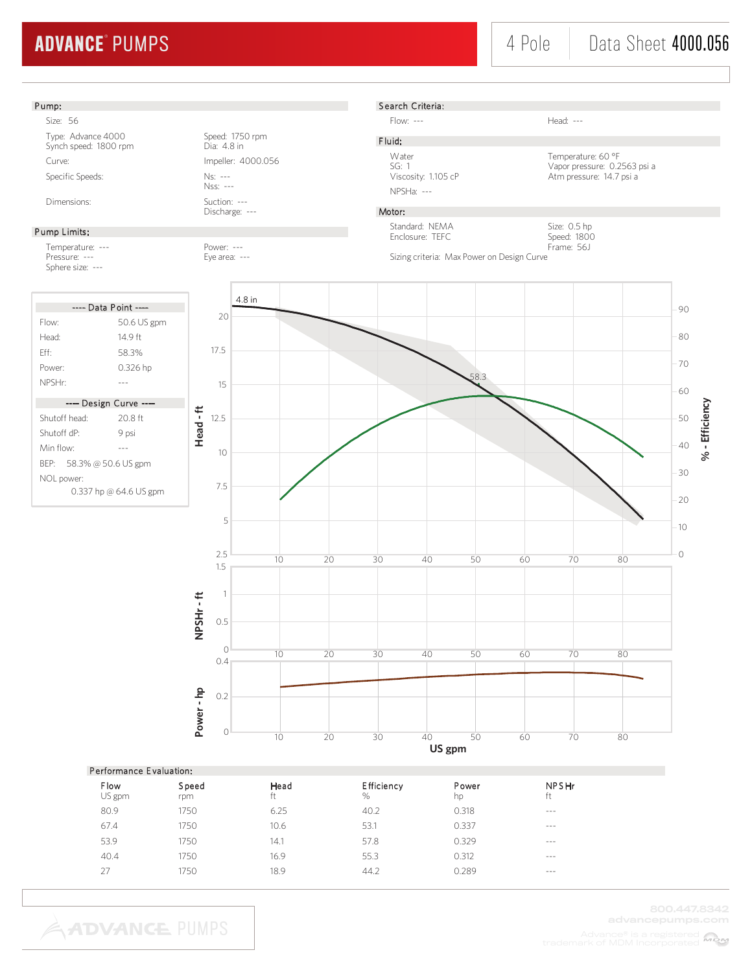#### Pump:

Size: 56 Type: Advance 4000<br>
Synch speed: 1800 rpm<br>
Dia: 4.8 in Synch speed: 1800 rpm Curve: Curve: Impeller: 4000.056 Specific Speeds: Ns: ---

#### Pump Limits:

Temperature: --- Power: --- Pressure: --- Eye area: ---Sphere size: ---

| ---- Data Point ----     |                        |  |  |  |
|--------------------------|------------------------|--|--|--|
| Flow:                    | 50.6 US gpm            |  |  |  |
| Head <sup>.</sup>        | 14 9 ft                |  |  |  |
| Fff                      | 583%                   |  |  |  |
| Power:                   | 0.326 hp               |  |  |  |
| NPSHr <sup>.</sup>       |                        |  |  |  |
| ---- Design Curve ----   |                        |  |  |  |
| Shutoff head:            | 20.8 ft                |  |  |  |
| Shutoff dP <sup>.</sup>  | 9 psi                  |  |  |  |
| Min flow <sup>.</sup>    |                        |  |  |  |
| BEP: 58.3% @ 50.6 US gpm |                        |  |  |  |
| NOL power:               |                        |  |  |  |
|                          | 0.337 hp @ 64.6 US gpm |  |  |  |

Nss: --- Dimensions: Suction: ---

Discharge: ---

#### S earch Criteria:

Flow: --- Head: ---

F luid: NPSHa: ---

Water Temperature: 60 °F<br>SG: 1 Vapor pressure: 0.2 SG: 1 Vapor pressure: 0.2563 psi a Viscosity: 1.105 cP Atm pressure: 14.7 psi a

> Size: 0.5 hp Speed: 1800 Frame: 56J

#### Motor:

Standard: NEMA Enclosure: TEFC

Sizing criteria: Max Power on Design Curve



| Performance Evaluation: |              |            |                           |             |                    |  |  |  |
|-------------------------|--------------|------------|---------------------------|-------------|--------------------|--|--|--|
| Flow<br>US gpm          | Speed<br>rpm | Head<br>ft | <b>Efficiency</b><br>$\%$ | Power<br>hp | <b>NPSHr</b><br>ft |  |  |  |
| 80.9                    | 1750         | 6.25       | 40.2                      | 0.318       | $- - -$            |  |  |  |
| 67.4                    | 1750         | 10.6       | 53.1                      | 0.337       | $- - -$            |  |  |  |
| 53.9                    | 1750         | 14.1       | 57.8                      | 0.329       | $---$              |  |  |  |
| 40.4                    | 1750         | 16.9       | 55.3                      | 0.312       | $---$              |  |  |  |
| 27                      | 1750         | 18.9       | 44.2                      | 0.289       | ---                |  |  |  |
|                         |              |            |                           |             |                    |  |  |  |

**ADVANCE PUMPS** 

800.447.8342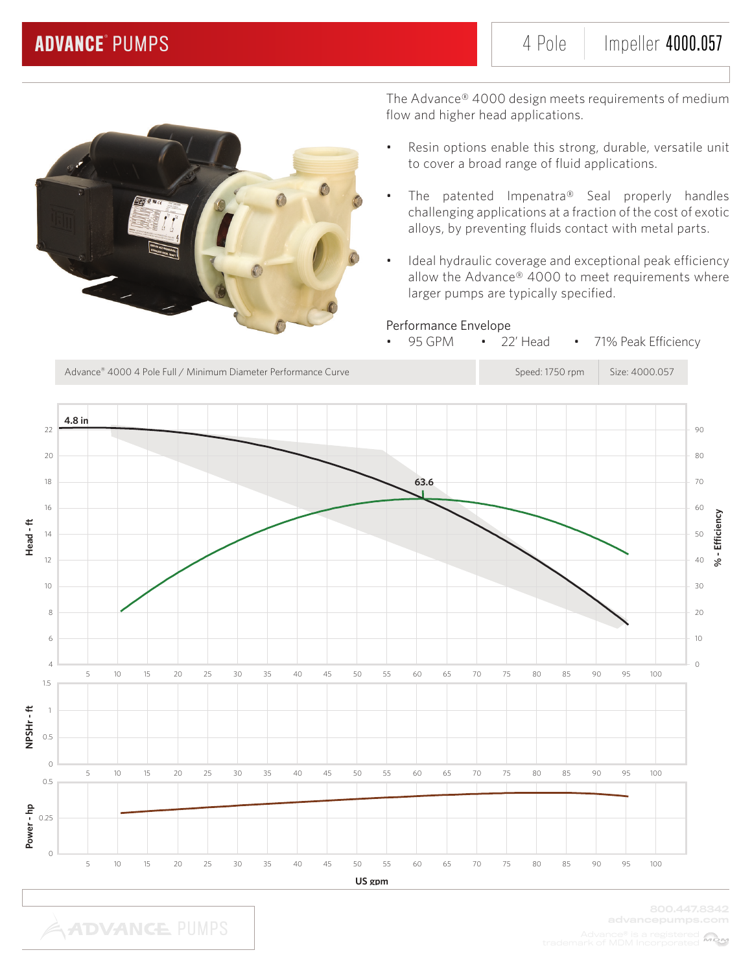

The Advance® 4000 design meets requirements of medium flow and higher head applications.

- Resin options enable this strong, durable, versatile unit to cover a broad range of fluid applications.
- The patented Impenatra® Seal properly handles challenging applications at a fraction of the cost of exotic alloys, by preventing fluids contact with metal parts.
- Ideal hydraulic coverage and exceptional peak efficiency allow the Advance® 4000 to meet requirements where larger pumps are typically specified.

### Performance Envelope

95 GPM • 22' Head • 71% Peak Efficiency

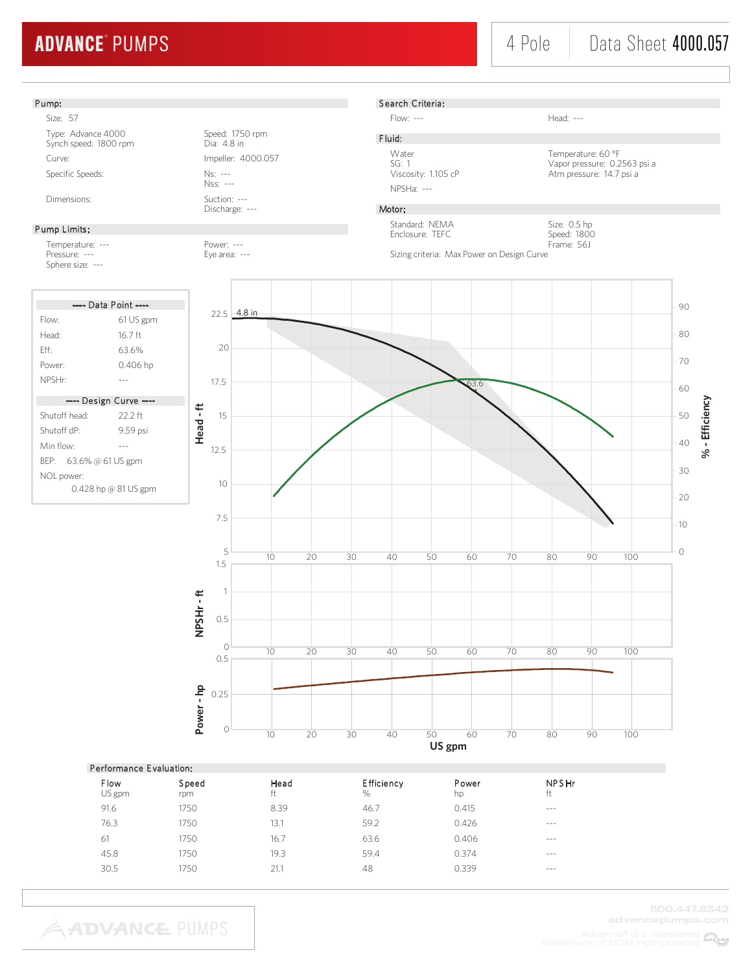### 4 Pole Data Sheet 4000.057



| Performance Evaluation: |              |            |                        |             |             |  |  |  |
|-------------------------|--------------|------------|------------------------|-------------|-------------|--|--|--|
| <b>Flow</b><br>US gpm   | Speed<br>rpm | Head<br>ft | <b>Efficiency</b><br>% | Power<br>hp | NPSHr<br>ft |  |  |  |
| 91.6                    | 1750         | 8.39       | 46.7                   | 0.415       | $- - - -$   |  |  |  |
| 76.3                    | 1750         | 13.1       | 59.2                   | 0.426       | $- - - -$   |  |  |  |
| 61                      | 1750         | 16.7       | 63.6                   | 0.406       | $- - - -$   |  |  |  |
| 45.8                    | 1750         | 19.3       | 59.4                   | 0.374       | $- - -$     |  |  |  |
| 30.5                    | 1750         | 21.1       | 48                     | 0.339       | $- - - -$   |  |  |  |
|                         |              |            |                        |             |             |  |  |  |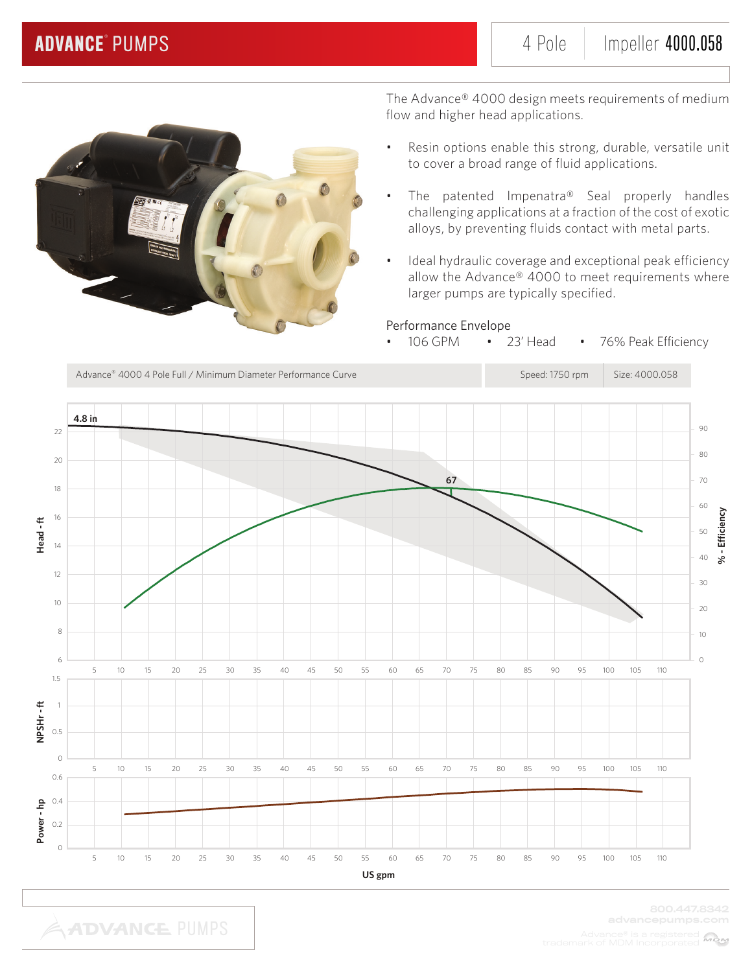

The Advance® 4000 design meets requirements of medium flow and higher head applications.

- Resin options enable this strong, durable, versatile unit to cover a broad range of fluid applications.
- The patented Impenatra® Seal properly handles challenging applications at a fraction of the cost of exotic alloys, by preventing fluids contact with metal parts.
- Ideal hydraulic coverage and exceptional peak efficiency allow the Advance® 4000 to meet requirements where larger pumps are typically specified.

### Performance Envelope

• 106 GPM • 23' Head • 76% Peak Efficiency

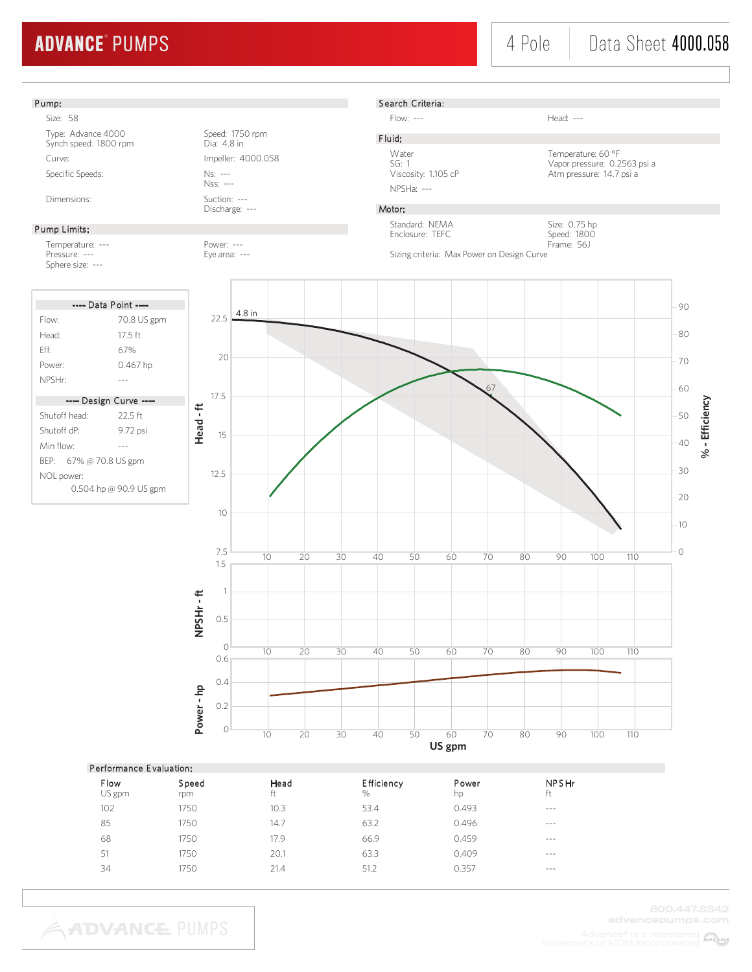### 4 Pole | Data Sheet 4000.058



| $\blacksquare$ crioning the $\blacksquare$ crionic model |              |            |                    |             |                    |  |  |  |
|----------------------------------------------------------|--------------|------------|--------------------|-------------|--------------------|--|--|--|
| Flow<br>US gpm                                           | Speed<br>rpm | Head<br>ft | Efficiency<br>$\%$ | Power<br>hp | <b>NPSHr</b><br>ft |  |  |  |
| 102                                                      | 1750         | 10.3       | 53.4               | 0.493       | $- - -$            |  |  |  |
| 85                                                       | 1750         | 14.7       | 63.2               | 0.496       | $- - -$            |  |  |  |
| 68                                                       | 1750         | 17.9       | 66.9               | 0.459       | $- - -$            |  |  |  |
| 51                                                       | 1750         | 20.1       | 63.3               | 0.409       | $- - -$            |  |  |  |
| 34                                                       | 1750         | 21.4       | 51.2               | 0.357       | $- - -$            |  |  |  |
|                                                          |              |            |                    |             |                    |  |  |  |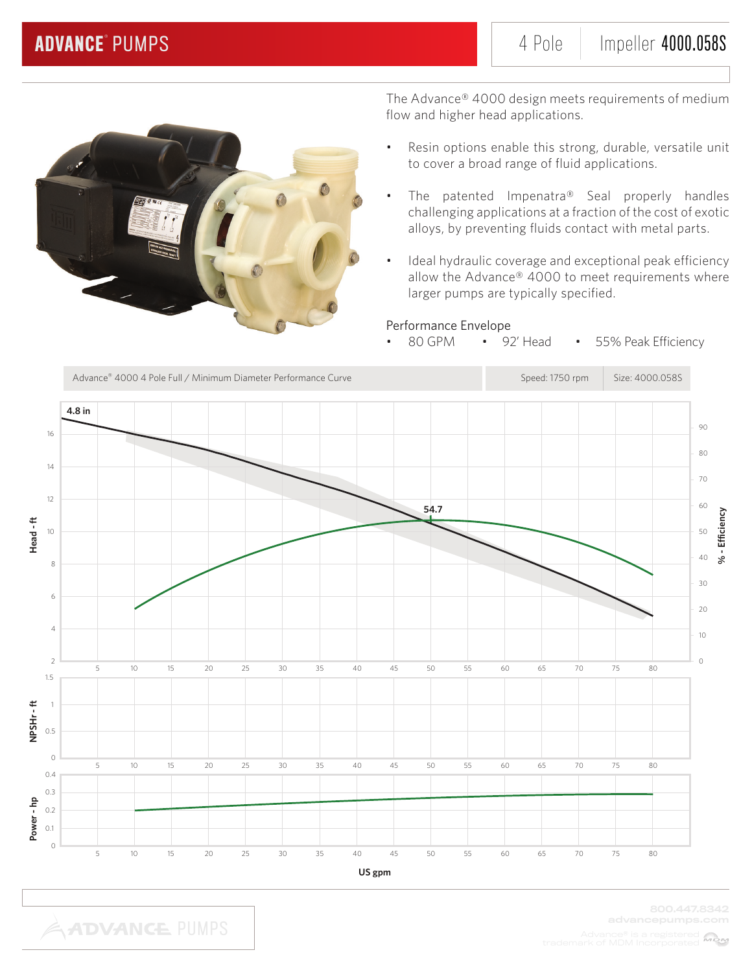

The Advance® 4000 design meets requirements of medium flow and higher head applications.

- Resin options enable this strong, durable, versatile unit to cover a broad range of fluid applications.
- The patented Impenatra® Seal properly handles challenging applications at a fraction of the cost of exotic alloys, by preventing fluids contact with metal parts.
- Ideal hydraulic coverage and exceptional peak efficiency allow the Advance® 4000 to meet requirements where larger pumps are typically specified.

### Performance Envelope

• 80 GPM • 92' Head • 55% Peak Efficiency